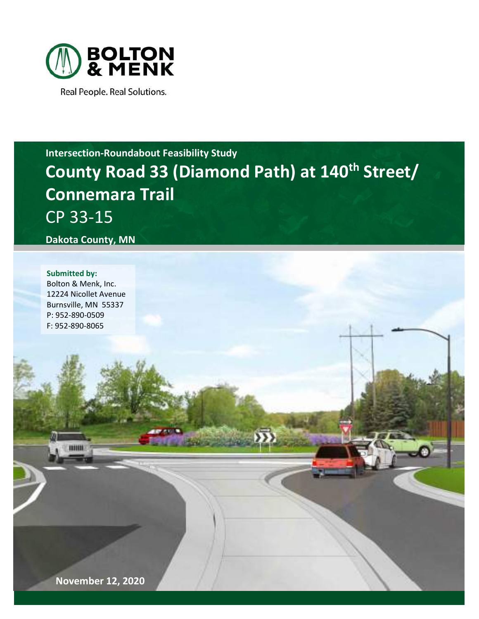

Real People. Real Solutions.

## Intersection-Roundabout Feasibility Study County Road 33 (Diamond Path) at 140<sup>th</sup> Street/ Connemara Trail CP 33-15

Dakota County, MN

#### Submitted by:

Bolton & Menk, Inc. 12224 Nicollet Avenue Burnsville, MN 55337 P: 952-890-0509 F: 952-890-8065

November 12, 2020

**LOW MOTORS**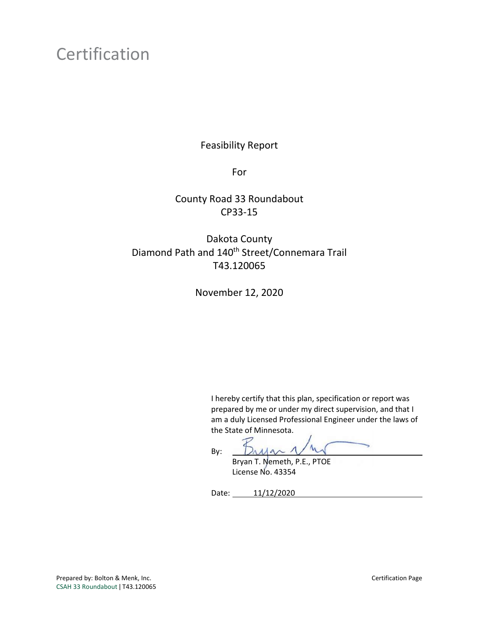### Certification

Feasibility Report

For

County Road 33 Roundabout CP33-15

Dakota County Diamond Path and 140<sup>th</sup> Street/Connemara Trail T43.120065

November 12, 2020

I hereby certify that this plan, specification or report was prepared by me or under my direct supervision, and that I am a duly Licensed Professional Engineer under the laws of the State of Minnesota.

By:  $\lambda$ A $\sim$ 

 Bryan T. Nemeth, P.E., PTOE License No. 43354

Date: 11/12/2020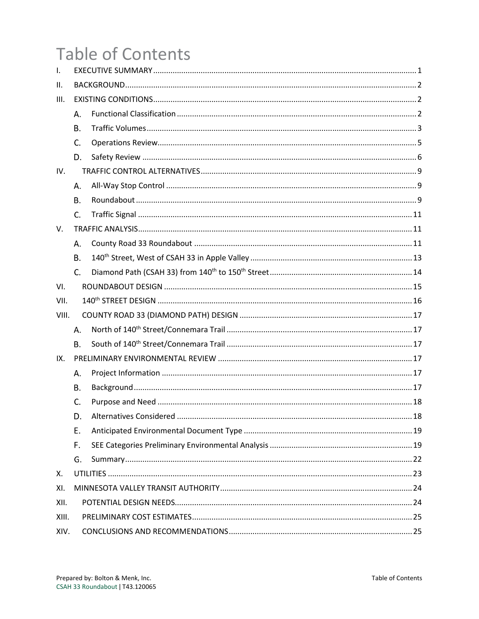# **Table of Contents**

| $\mathsf{L}$ |           |    |  |  |  |  |
|--------------|-----------|----|--|--|--|--|
| Ш.           |           |    |  |  |  |  |
| III.         |           |    |  |  |  |  |
|              | А.        |    |  |  |  |  |
|              | В.        |    |  |  |  |  |
|              | C.        |    |  |  |  |  |
|              | D.        |    |  |  |  |  |
| IV.          |           |    |  |  |  |  |
|              | Α.        |    |  |  |  |  |
|              | <b>B.</b> |    |  |  |  |  |
|              | C.        |    |  |  |  |  |
| V.           |           |    |  |  |  |  |
|              | А.        |    |  |  |  |  |
|              | B.        |    |  |  |  |  |
|              | C.        |    |  |  |  |  |
| VI.          |           |    |  |  |  |  |
| VII.         |           |    |  |  |  |  |
| VIII.        |           |    |  |  |  |  |
|              | Α.        |    |  |  |  |  |
|              | Β.        |    |  |  |  |  |
| IX.          |           |    |  |  |  |  |
|              | Α.        |    |  |  |  |  |
|              | В.        |    |  |  |  |  |
|              | C.        |    |  |  |  |  |
|              | D.        | 18 |  |  |  |  |
|              | Ε.        |    |  |  |  |  |
|              | F.        |    |  |  |  |  |
|              | G.        |    |  |  |  |  |
| Х.           |           |    |  |  |  |  |
| XI.          |           |    |  |  |  |  |
| XII.         |           |    |  |  |  |  |
| XIII.        |           |    |  |  |  |  |
| XIV.         |           |    |  |  |  |  |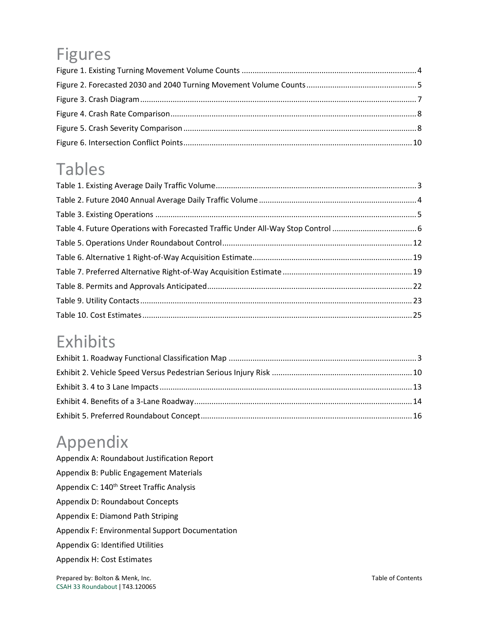# Figures

### Tables

### Exhibits

## Appendix

Appendix A: Roundabout Justification Report Appendix B: Public Engagement Materials Appendix C: 140<sup>th</sup> Street Traffic Analysis Appendix D: Roundabout Concepts Appendix E: Diamond Path Striping Appendix F: Environmental Support Documentation Appendix G: Identified Utilities Appendix H: Cost Estimates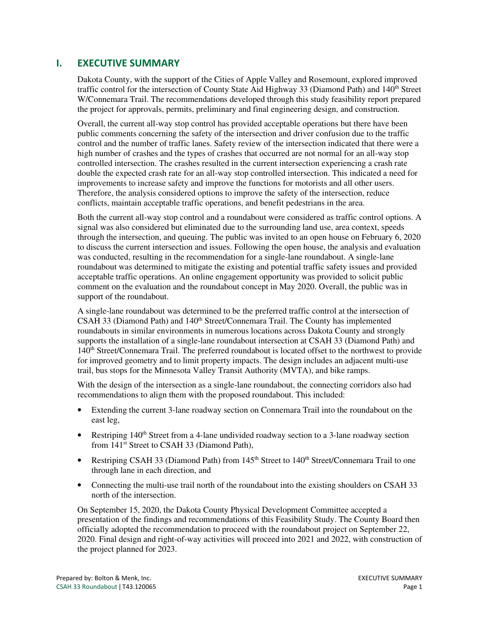#### I. EXECUTIVE SUMMARY

Dakota County, with the support of the Cities of Apple Valley and Rosemount, explored improved traffic control for the intersection of County State Aid Highway 33 (Diamond Path) and 140<sup>th</sup> Street W/Connemara Trail. The recommendations developed through this study feasibility report prepared the project for approvals, permits, preliminary and final engineering design, and construction.

Overall, the current all-way stop control has provided acceptable operations but there have been public comments concerning the safety of the intersection and driver confusion due to the traffic control and the number of traffic lanes. Safety review of the intersection indicated that there were a high number of crashes and the types of crashes that occurred are not normal for an all-way stop controlled intersection. The crashes resulted in the current intersection experiencing a crash rate double the expected crash rate for an all-way stop controlled intersection. This indicated a need for improvements to increase safety and improve the functions for motorists and all other users. Therefore, the analysis considered options to improve the safety of the intersection, reduce conflicts, maintain acceptable traffic operations, and benefit pedestrians in the area.

Both the current all-way stop control and a roundabout were considered as traffic control options. A signal was also considered but eliminated due to the surrounding land use, area context, speeds through the intersection, and queuing. The public was invited to an open house on February 6, 2020 to discuss the current intersection and issues. Following the open house, the analysis and evaluation was conducted, resulting in the recommendation for a single-lane roundabout. A single-lane roundabout was determined to mitigate the existing and potential traffic safety issues and provided acceptable traffic operations. An online engagement opportunity was provided to solicit public comment on the evaluation and the roundabout concept in May 2020. Overall, the public was in support of the roundabout.

A single-lane roundabout was determined to be the preferred traffic control at the intersection of CSAH 33 (Diamond Path) and  $140<sup>th</sup>$  Street/Connemara Trail. The County has implemented roundabouts in similar environments in numerous locations across Dakota County and strongly supports the installation of a single-lane roundabout intersection at CSAH 33 (Diamond Path) and 140th Street/Connemara Trail. The preferred roundabout is located offset to the northwest to provide for improved geometry and to limit property impacts. The design includes an adjacent multi-use trail, bus stops for the Minnesota Valley Transit Authority (MVTA), and bike ramps.

With the design of the intersection as a single-lane roundabout, the connecting corridors also had recommendations to align them with the proposed roundabout. This included:

- Extending the current 3-lane roadway section on Connemara Trail into the roundabout on the east leg,
- Restriping  $140<sup>th</sup>$  Street from a 4-lane undivided roadway section to a 3-lane roadway section from 141<sup>st</sup> Street to CSAH 33 (Diamond Path),
- Restriping CSAH 33 (Diamond Path) from 145<sup>th</sup> Street to 140<sup>th</sup> Street/Connemara Trail to one through lane in each direction, and
- Connecting the multi-use trail north of the roundabout into the existing shoulders on CSAH 33 north of the intersection.

On September 15, 2020, the Dakota County Physical Development Committee accepted a presentation of the findings and recommendations of this Feasibility Study. The County Board then officially adopted the recommendation to proceed with the roundabout project on September 22, 2020. Final design and right-of-way activities will proceed into 2021 and 2022, with construction of the project planned for 2023.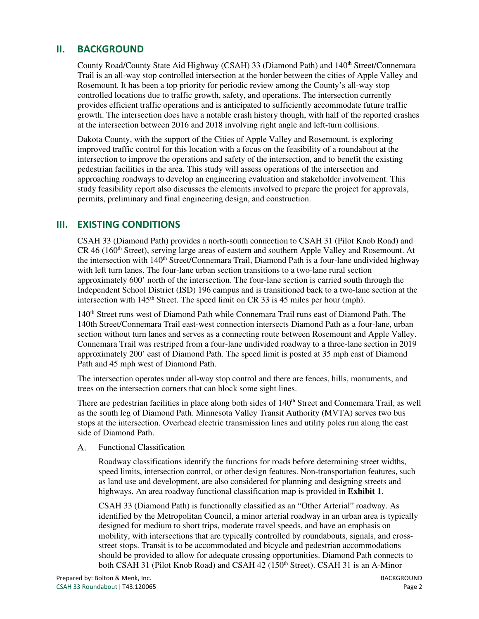#### II. BACKGROUND

County Road/County State Aid Highway (CSAH) 33 (Diamond Path) and 140<sup>th</sup> Street/Connemara Trail is an all-way stop controlled intersection at the border between the cities of Apple Valley and Rosemount. It has been a top priority for periodic review among the County's all-way stop controlled locations due to traffic growth, safety, and operations. The intersection currently provides efficient traffic operations and is anticipated to sufficiently accommodate future traffic growth. The intersection does have a notable crash history though, with half of the reported crashes at the intersection between 2016 and 2018 involving right angle and left-turn collisions.

Dakota County, with the support of the Cities of Apple Valley and Rosemount, is exploring improved traffic control for this location with a focus on the feasibility of a roundabout at the intersection to improve the operations and safety of the intersection, and to benefit the existing pedestrian facilities in the area. This study will assess operations of the intersection and approaching roadways to develop an engineering evaluation and stakeholder involvement. This study feasibility report also discusses the elements involved to prepare the project for approvals, permits, preliminary and final engineering design, and construction.

#### III. EXISTING CONDITIONS

CSAH 33 (Diamond Path) provides a north-south connection to CSAH 31 (Pilot Knob Road) and CR 46 (160th Street), serving large areas of eastern and southern Apple Valley and Rosemount. At the intersection with 140<sup>th</sup> Street/Connemara Trail, Diamond Path is a four-lane undivided highway with left turn lanes. The four-lane urban section transitions to a two-lane rural section approximately 600' north of the intersection. The four-lane section is carried south through the Independent School District (ISD) 196 campus and is transitioned back to a two-lane section at the intersection with 145<sup>th</sup> Street. The speed limit on CR 33 is 45 miles per hour (mph).

140th Street runs west of Diamond Path while Connemara Trail runs east of Diamond Path. The 140th Street/Connemara Trail east-west connection intersects Diamond Path as a four-lane, urban section without turn lanes and serves as a connecting route between Rosemount and Apple Valley. Connemara Trail was restriped from a four-lane undivided roadway to a three-lane section in 2019 approximately 200' east of Diamond Path. The speed limit is posted at 35 mph east of Diamond Path and 45 mph west of Diamond Path.

The intersection operates under all-way stop control and there are fences, hills, monuments, and trees on the intersection corners that can block some sight lines.

There are pedestrian facilities in place along both sides of 140<sup>th</sup> Street and Connemara Trail, as well as the south leg of Diamond Path. Minnesota Valley Transit Authority (MVTA) serves two bus stops at the intersection. Overhead electric transmission lines and utility poles run along the east side of Diamond Path.

Functional Classification  $A_{\cdot}$ 

> Roadway classifications identify the functions for roads before determining street widths, speed limits, intersection control, or other design features. Non-transportation features, such as land use and development, are also considered for planning and designing streets and highways. An area roadway functional classification map is provided in **Exhibit 1**.

> CSAH 33 (Diamond Path) is functionally classified as an "Other Arterial" roadway. As identified by the Metropolitan Council, a minor arterial roadway in an urban area is typically designed for medium to short trips, moderate travel speeds, and have an emphasis on mobility, with intersections that are typically controlled by roundabouts, signals, and crossstreet stops. Transit is to be accommodated and bicycle and pedestrian accommodations should be provided to allow for adequate crossing opportunities. Diamond Path connects to both CSAH 31 (Pilot Knob Road) and CSAH 42 (150<sup>th</sup> Street). CSAH 31 is an A-Minor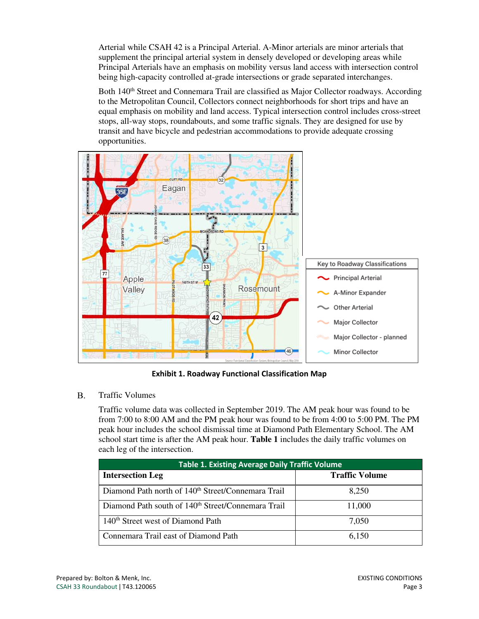Arterial while CSAH 42 is a Principal Arterial. A-Minor arterials are minor arterials that supplement the principal arterial system in densely developed or developing areas while Principal Arterials have an emphasis on mobility versus land access with intersection control being high-capacity controlled at-grade intersections or grade separated interchanges.

Both 140<sup>th</sup> Street and Connemara Trail are classified as Major Collector roadways. According to the Metropolitan Council, Collectors connect neighborhoods for short trips and have an equal emphasis on mobility and land access. Typical intersection control includes cross-street stops, all-way stops, roundabouts, and some traffic signals. They are designed for use by transit and have bicycle and pedestrian accommodations to provide adequate crossing opportunities.



Exhibit 1. Roadway Functional Classification Map

#### $B.$ Traffic Volumes

Traffic volume data was collected in September 2019. The AM peak hour was found to be from 7:00 to 8:00 AM and the PM peak hour was found to be from 4:00 to 5:00 PM. The PM peak hour includes the school dismissal time at Diamond Path Elementary School. The AM school start time is after the AM peak hour. **Table 1** includes the daily traffic volumes on each leg of the intersection.

| <b>Table 1. Existing Average Daily Traffic Volume</b>          |                       |  |  |  |
|----------------------------------------------------------------|-----------------------|--|--|--|
| <b>Intersection Leg</b>                                        | <b>Traffic Volume</b> |  |  |  |
| Diamond Path north of 140 <sup>th</sup> Street/Connemara Trail | 8,250                 |  |  |  |
| Diamond Path south of 140 <sup>th</sup> Street/Connemara Trail | 11,000                |  |  |  |
| 140 <sup>th</sup> Street west of Diamond Path                  | 7.050                 |  |  |  |
| Connemara Trail east of Diamond Path                           | 6,150                 |  |  |  |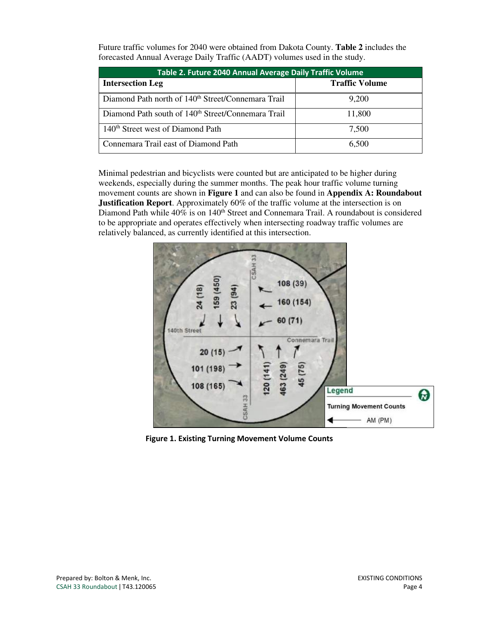Future traffic volumes for 2040 were obtained from Dakota County. **Table 2** includes the forecasted Annual Average Daily Traffic (AADT) volumes used in the study.

| Table 2. Future 2040 Annual Average Daily Traffic Volume       |                       |  |  |  |  |
|----------------------------------------------------------------|-----------------------|--|--|--|--|
| <b>Intersection Leg</b>                                        | <b>Traffic Volume</b> |  |  |  |  |
| Diamond Path north of 140 <sup>th</sup> Street/Connemara Trail | 9,200                 |  |  |  |  |
| Diamond Path south of 140 <sup>th</sup> Street/Connemara Trail | 11,800                |  |  |  |  |
| 140 <sup>th</sup> Street west of Diamond Path                  | 7,500                 |  |  |  |  |
| Connemara Trail east of Diamond Path                           | 6.500                 |  |  |  |  |

Minimal pedestrian and bicyclists were counted but are anticipated to be higher during weekends, especially during the summer months. The peak hour traffic volume turning movement counts are shown in **Figure 1** and can also be found in **Appendix A: Roundabout Justification Report**. Approximately 60% of the traffic volume at the intersection is on Diamond Path while 40% is on 140<sup>th</sup> Street and Connemara Trail. A roundabout is considered to be appropriate and operates effectively when intersecting roadway traffic volumes are relatively balanced, as currently identified at this intersection.



Figure 1. Existing Turning Movement Volume Counts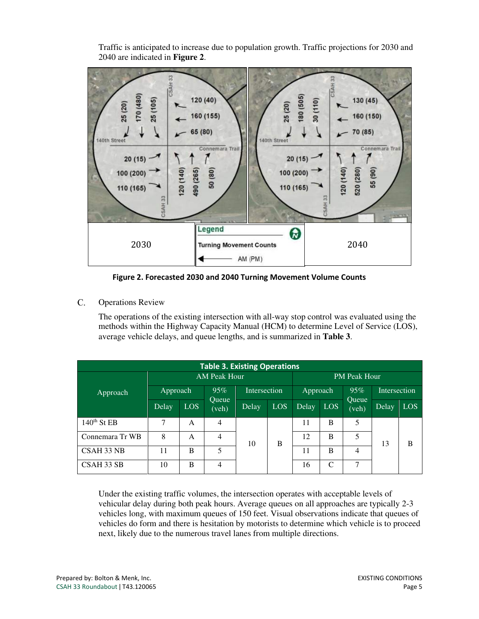Traffic is anticipated to increase due to population growth. Traffic projections for 2030 and 2040 are indicated in **Figure 2**.



Figure 2. Forecasted 2030 and 2040 Turning Movement Volume Counts

 $C_{\cdot}$ Operations Review

> The operations of the existing intersection with all-way stop control was evaluated using the methods within the Highway Capacity Manual (HCM) to determine Level of Service (LOS), average vehicle delays, and queue lengths, and is summarized in **Table 3**.

| <b>Table 3. Existing Operations</b> |                     |            |                       |       |            |       |                     |                       |       |     |  |
|-------------------------------------|---------------------|------------|-----------------------|-------|------------|-------|---------------------|-----------------------|-------|-----|--|
|                                     | <b>AM Peak Hour</b> |            |                       |       |            |       | <b>PM Peak Hour</b> |                       |       |     |  |
| Approach                            | 95%<br>Approach     |            | Intersection          |       | Approach   |       | 95%                 | <b>Intersection</b>   |       |     |  |
|                                     | Delay               | <b>LOS</b> | <b>Oueue</b><br>(veh) | Delay | <b>LOS</b> | Delay | LOS <sup>1</sup>    | <b>Oueue</b><br>(veh) | Delay | LOS |  |
| $140th$ St EB                       | 7                   | A          | $\overline{4}$        |       |            | 11    | B                   | 5                     |       |     |  |
| Connemara Tr WB                     | 8                   | A          | 4                     | 10    | B          | 12    | B                   | 5                     | 13    | B   |  |
| CSAH 33 NB                          | 11                  | B          | 5                     |       |            | 11    | B                   | 4                     |       |     |  |
| CSAH 33 SB                          | 10                  | B          | $\overline{4}$        |       |            | 16    | C                   | ⇁                     |       |     |  |

Under the existing traffic volumes, the intersection operates with acceptable levels of vehicular delay during both peak hours. Average queues on all approaches are typically 2-3 vehicles long, with maximum queues of 150 feet. Visual observations indicate that queues of vehicles do form and there is hesitation by motorists to determine which vehicle is to proceed next, likely due to the numerous travel lanes from multiple directions.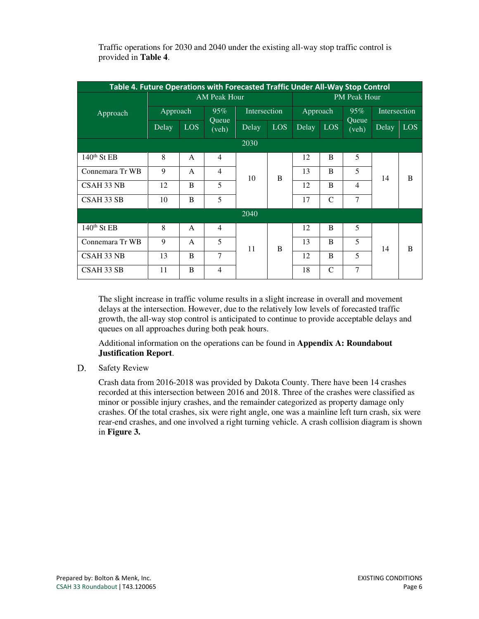| Table 4. Future Operations with Forecasted Traffic Under All-Way Stop Control |             |              |                     |       |              |       |                  |                |                |                  |   |    |   |   |    |   |
|-------------------------------------------------------------------------------|-------------|--------------|---------------------|-------|--------------|-------|------------------|----------------|----------------|------------------|---|----|---|---|----|---|
|                                                                               |             |              | <b>PM Peak Hour</b> |       |              |       |                  |                |                |                  |   |    |   |   |    |   |
| Approach                                                                      | Approach    |              | 95%                 |       | Intersection |       | Approach         |                | Intersection   |                  |   |    |   |   |    |   |
|                                                                               | Delay       | <b>LOS</b>   | Queue<br>(veh)      | Delay | <b>LOS</b>   | Delay | LOS <sup>1</sup> | Oueue<br>(veh) | Delay          | LOS <sup>1</sup> |   |    |   |   |    |   |
|                                                                               |             |              |                     | 2030  |              |       |                  |                |                |                  |   |    |   |   |    |   |
| $140th$ St EB                                                                 | 8           | $\mathsf{A}$ | $\overline{4}$      |       |              | 12    | $\overline{B}$   | 5              |                |                  |   |    |   |   |    |   |
| Connemara Tr WB                                                               | $\mathbf Q$ | $\mathsf{A}$ | $\overline{4}$      | 10    |              |       |                  | B              | 13             | <sub>B</sub>     | 5 | 14 | B |   |    |   |
| CSAH 33 NB                                                                    | 12          | B            | 5                   |       |              |       |                  | 12             | B              | $\overline{4}$   |   |    |   |   |    |   |
| CSAH 33 SB                                                                    | 10          | B            | 5                   |       |              |       | 17               | $\mathcal{C}$  | $\overline{7}$ |                  |   |    |   |   |    |   |
|                                                                               | 2040        |              |                     |       |              |       |                  |                |                |                  |   |    |   |   |    |   |
| $140th$ St EB                                                                 | 8           | $\mathsf{A}$ | $\overline{4}$      |       |              | 12    | B                | 5              |                |                  |   |    |   |   |    |   |
| Connemara Tr WB                                                               | 9           | $\mathsf{A}$ | 5                   | 11    |              |       |                  |                |                |                  | B | 13 | B | 5 | 14 | B |
| CSAH 33 NB                                                                    | 13          | B            | 7                   |       |              | 12    | B                | 5              |                |                  |   |    |   |   |    |   |
| CSAH 33 SB                                                                    | 11          | B            | $\overline{4}$      |       |              | 18    | $\mathcal{C}$    | $\overline{7}$ |                |                  |   |    |   |   |    |   |

Traffic operations for 2030 and 2040 under the existing all-way stop traffic control is provided in **Table 4**.

The slight increase in traffic volume results in a slight increase in overall and movement delays at the intersection. However, due to the relatively low levels of forecasted traffic growth, the all-way stop control is anticipated to continue to provide acceptable delays and queues on all approaches during both peak hours.

Additional information on the operations can be found in **Appendix A: Roundabout Justification Report**.

D. Safety Review

> Crash data from 2016-2018 was provided by Dakota County. There have been 14 crashes recorded at this intersection between 2016 and 2018. Three of the crashes were classified as minor or possible injury crashes, and the remainder categorized as property damage only crashes. Of the total crashes, six were right angle, one was a mainline left turn crash, six were rear-end crashes, and one involved a right turning vehicle. A crash collision diagram is shown in **Figure 3.**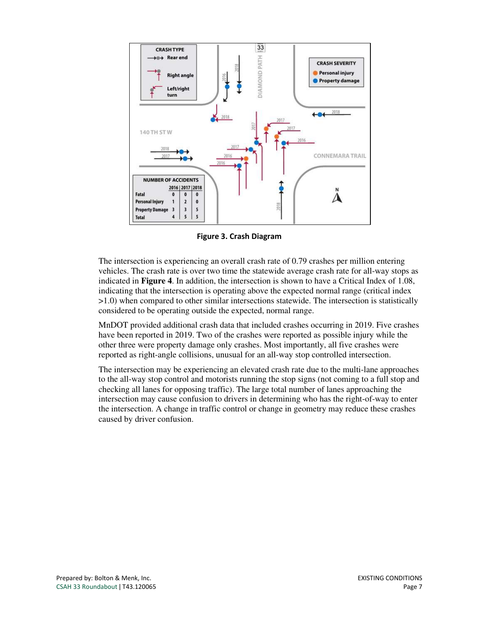

Figure 3. Crash Diagram

The intersection is experiencing an overall crash rate of 0.79 crashes per million entering vehicles. The crash rate is over two time the statewide average crash rate for all-way stops as indicated in **Figure 4**. In addition, the intersection is shown to have a Critical Index of 1.08, indicating that the intersection is operating above the expected normal range (critical index >1.0) when compared to other similar intersections statewide. The intersection is statistically considered to be operating outside the expected, normal range.

MnDOT provided additional crash data that included crashes occurring in 2019. Five crashes have been reported in 2019. Two of the crashes were reported as possible injury while the other three were property damage only crashes. Most importantly, all five crashes were reported as right-angle collisions, unusual for an all-way stop controlled intersection.

The intersection may be experiencing an elevated crash rate due to the multi-lane approaches to the all-way stop control and motorists running the stop signs (not coming to a full stop and checking all lanes for opposing traffic). The large total number of lanes approaching the intersection may cause confusion to drivers in determining who has the right-of-way to enter the intersection. A change in traffic control or change in geometry may reduce these crashes caused by driver confusion.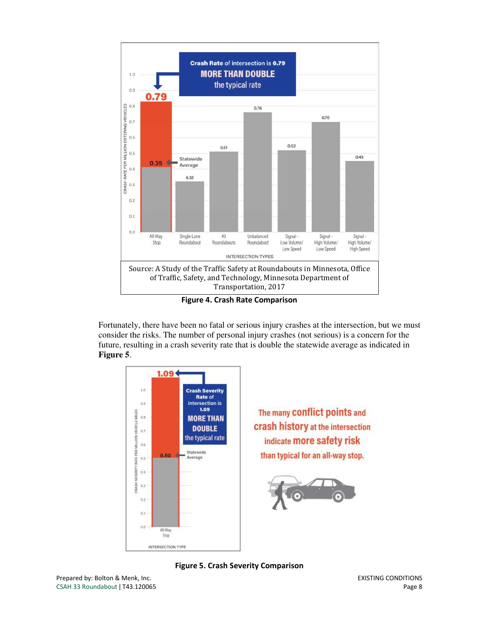

Figure 4. Crash Rate Comparison

Fortunately, there have been no fatal or serious injury crashes at the intersection, but we must consider the risks. The number of personal injury crashes (not serious) is a concern for the future, resulting in a crash severity rate that is double the statewide average as indicated in **Figure 5**.



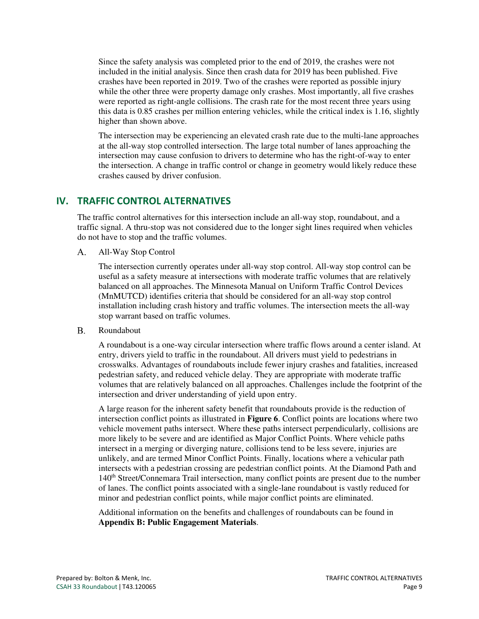Since the safety analysis was completed prior to the end of 2019, the crashes were not included in the initial analysis. Since then crash data for 2019 has been published. Five crashes have been reported in 2019. Two of the crashes were reported as possible injury while the other three were property damage only crashes. Most importantly, all five crashes were reported as right-angle collisions. The crash rate for the most recent three years using this data is 0.85 crashes per million entering vehicles, while the critical index is 1.16, slightly higher than shown above.

The intersection may be experiencing an elevated crash rate due to the multi-lane approaches at the all-way stop controlled intersection. The large total number of lanes approaching the intersection may cause confusion to drivers to determine who has the right-of-way to enter the intersection. A change in traffic control or change in geometry would likely reduce these crashes caused by driver confusion.

#### IV. TRAFFIC CONTROL ALTERNATIVES

The traffic control alternatives for this intersection include an all-way stop, roundabout, and a traffic signal. A thru-stop was not considered due to the longer sight lines required when vehicles do not have to stop and the traffic volumes.

All-Way Stop Control  $A_{\cdot}$ 

> The intersection currently operates under all-way stop control. All-way stop control can be useful as a safety measure at intersections with moderate traffic volumes that are relatively balanced on all approaches. The Minnesota Manual on Uniform Traffic Control Devices (MnMUTCD) identifies criteria that should be considered for an all-way stop control installation including crash history and traffic volumes. The intersection meets the all-way stop warrant based on traffic volumes.

 $B<sub>1</sub>$ Roundabout

> A roundabout is a one-way circular intersection where traffic flows around a center island. At entry, drivers yield to traffic in the roundabout. All drivers must yield to pedestrians in crosswalks. Advantages of roundabouts include fewer injury crashes and fatalities, increased pedestrian safety, and reduced vehicle delay. They are appropriate with moderate traffic volumes that are relatively balanced on all approaches. Challenges include the footprint of the intersection and driver understanding of yield upon entry.

> A large reason for the inherent safety benefit that roundabouts provide is the reduction of intersection conflict points as illustrated in **Figure 6**. Conflict points are locations where two vehicle movement paths intersect. Where these paths intersect perpendicularly, collisions are more likely to be severe and are identified as Major Conflict Points. Where vehicle paths intersect in a merging or diverging nature, collisions tend to be less severe, injuries are unlikely, and are termed Minor Conflict Points. Finally, locations where a vehicular path intersects with a pedestrian crossing are pedestrian conflict points. At the Diamond Path and 140th Street/Connemara Trail intersection, many conflict points are present due to the number of lanes. The conflict points associated with a single-lane roundabout is vastly reduced for minor and pedestrian conflict points, while major conflict points are eliminated.

Additional information on the benefits and challenges of roundabouts can be found in **Appendix B: Public Engagement Materials**.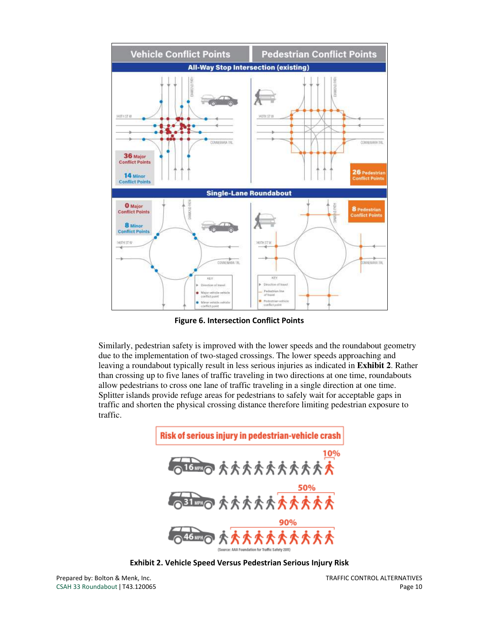

Figure 6. Intersection Conflict Points

Similarly, pedestrian safety is improved with the lower speeds and the roundabout geometry due to the implementation of two-staged crossings. The lower speeds approaching and leaving a roundabout typically result in less serious injuries as indicated in **Exhibit 2**. Rather than crossing up to five lanes of traffic traveling in two directions at one time, roundabouts allow pedestrians to cross one lane of traffic traveling in a single direction at one time. Splitter islands provide refuge areas for pedestrians to safely wait for acceptable gaps in traffic and shorten the physical crossing distance therefore limiting pedestrian exposure to traffic.



Exhibit 2. Vehicle Speed Versus Pedestrian Serious Injury Risk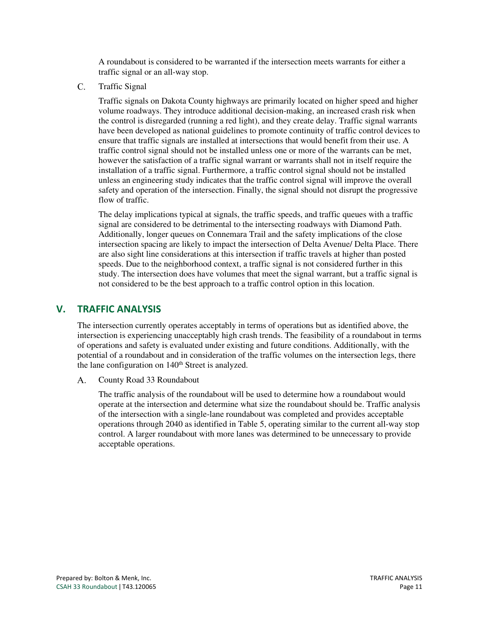A roundabout is considered to be warranted if the intersection meets warrants for either a traffic signal or an all-way stop.

 $C_{\cdot}$ Traffic Signal

> Traffic signals on Dakota County highways are primarily located on higher speed and higher volume roadways. They introduce additional decision-making, an increased crash risk when the control is disregarded (running a red light), and they create delay. Traffic signal warrants have been developed as national guidelines to promote continuity of traffic control devices to ensure that traffic signals are installed at intersections that would benefit from their use. A traffic control signal should not be installed unless one or more of the warrants can be met, however the satisfaction of a traffic signal warrant or warrants shall not in itself require the installation of a traffic signal. Furthermore, a traffic control signal should not be installed unless an engineering study indicates that the traffic control signal will improve the overall safety and operation of the intersection. Finally, the signal should not disrupt the progressive flow of traffic.

> The delay implications typical at signals, the traffic speeds, and traffic queues with a traffic signal are considered to be detrimental to the intersecting roadways with Diamond Path. Additionally, longer queues on Connemara Trail and the safety implications of the close intersection spacing are likely to impact the intersection of Delta Avenue/ Delta Place. There are also sight line considerations at this intersection if traffic travels at higher than posted speeds. Due to the neighborhood context, a traffic signal is not considered further in this study. The intersection does have volumes that meet the signal warrant, but a traffic signal is not considered to be the best approach to a traffic control option in this location.

#### V. TRAFFIC ANALYSIS

The intersection currently operates acceptably in terms of operations but as identified above, the intersection is experiencing unacceptably high crash trends. The feasibility of a roundabout in terms of operations and safety is evaluated under existing and future conditions. Additionally, with the potential of a roundabout and in consideration of the traffic volumes on the intersection legs, there the lane configuration on  $140<sup>th</sup>$  Street is analyzed.

 $A_{\cdot}$ County Road 33 Roundabout

> The traffic analysis of the roundabout will be used to determine how a roundabout would operate at the intersection and determine what size the roundabout should be. Traffic analysis of the intersection with a single-lane roundabout was completed and provides acceptable operations through 2040 as identified in Table 5, operating similar to the current all-way stop control. A larger roundabout with more lanes was determined to be unnecessary to provide acceptable operations.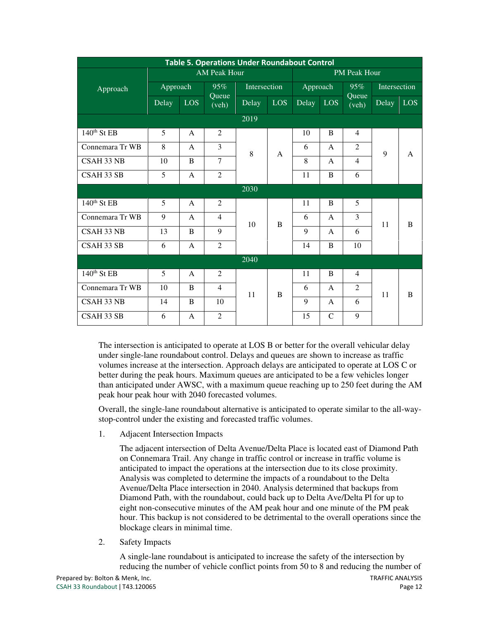| <b>Table 5. Operations Under Roundabout Control</b> |                     |              |                |              |            |          |               |                |       |     |  |  |  |   |   |                |  |  |  |  |  |  |  |  |  |  |  |  |   |              |   |  |  |
|-----------------------------------------------------|---------------------|--------------|----------------|--------------|------------|----------|---------------|----------------|-------|-----|--|--|--|---|---|----------------|--|--|--|--|--|--|--|--|--|--|--|--|---|--------------|---|--|--|
|                                                     | <b>AM Peak Hour</b> |              |                |              |            |          | PM Peak Hour  |                |       |     |  |  |  |   |   |                |  |  |  |  |  |  |  |  |  |  |  |  |   |              |   |  |  |
| Approach                                            | Approach<br>95%     |              |                | Intersection |            | Approach |               | Intersection   |       |     |  |  |  |   |   |                |  |  |  |  |  |  |  |  |  |  |  |  |   |              |   |  |  |
|                                                     | Delay               | <b>LOS</b>   | Queue<br>(veh) | Delay        | <b>LOS</b> | Delay    | <b>LOS</b>    | Queue<br>(veh) | Delay | LOS |  |  |  |   |   |                |  |  |  |  |  |  |  |  |  |  |  |  |   |              |   |  |  |
|                                                     |                     |              |                | 2019         |            |          |               |                |       |     |  |  |  |   |   |                |  |  |  |  |  |  |  |  |  |  |  |  |   |              |   |  |  |
| $140th$ St EB                                       | 5                   | $\mathsf{A}$ | 2              |              |            | 10       | B             | $\overline{4}$ |       |     |  |  |  |   |   |                |  |  |  |  |  |  |  |  |  |  |  |  |   |              |   |  |  |
| Connemara Tr WB                                     | 8                   | $\mathsf{A}$ | 3              | 8            | A          | 6        | A             | 2              | 9     | A   |  |  |  |   |   |                |  |  |  |  |  |  |  |  |  |  |  |  |   |              |   |  |  |
| CSAH 33 NB                                          | 10                  | B            | $\overline{7}$ |              |            |          |               |                |       |     |  |  |  | 8 | A | $\overline{4}$ |  |  |  |  |  |  |  |  |  |  |  |  |   |              |   |  |  |
| CSAH 33 SB                                          | 5                   | $\mathbf{A}$ | $\overline{2}$ |              |            |          | 11            | B              | 6     |     |  |  |  |   |   |                |  |  |  |  |  |  |  |  |  |  |  |  |   |              |   |  |  |
|                                                     |                     |              |                | 2030         |            |          |               |                |       |     |  |  |  |   |   |                |  |  |  |  |  |  |  |  |  |  |  |  |   |              |   |  |  |
| 140 <sup>th</sup> St EB                             | 5                   | $\mathsf{A}$ | $\overline{2}$ |              |            | 11       | B             | 5              |       |     |  |  |  |   |   |                |  |  |  |  |  |  |  |  |  |  |  |  |   |              |   |  |  |
| Connemara Tr WB                                     | 9                   | $\mathsf{A}$ | $\overline{4}$ | 10           | B          | 6        | $\mathsf{A}$  | $\overline{3}$ | 11    | B   |  |  |  |   |   |                |  |  |  |  |  |  |  |  |  |  |  |  |   |              |   |  |  |
| CSAH 33 NB                                          | 13                  | B            | 9              |              |            |          |               |                |       |     |  |  |  |   |   |                |  |  |  |  |  |  |  |  |  |  |  |  | 9 | $\mathsf{A}$ | 6 |  |  |
| CSAH 33 SB                                          | 6                   | $\mathsf{A}$ | $\overline{2}$ |              |            | 14       | B             | 10             |       |     |  |  |  |   |   |                |  |  |  |  |  |  |  |  |  |  |  |  |   |              |   |  |  |
|                                                     |                     |              |                | 2040         |            |          |               |                |       |     |  |  |  |   |   |                |  |  |  |  |  |  |  |  |  |  |  |  |   |              |   |  |  |
| $140th$ St EB                                       | 5                   | $\mathsf{A}$ | 2              |              |            | 11       | B             | $\overline{4}$ |       |     |  |  |  |   |   |                |  |  |  |  |  |  |  |  |  |  |  |  |   |              |   |  |  |
| Connemara Tr WB                                     | 10                  | B            | $\overline{4}$ | 11           | B          | 6        | A             | 2              | 11    | B   |  |  |  |   |   |                |  |  |  |  |  |  |  |  |  |  |  |  |   |              |   |  |  |
| CSAH 33 NB                                          | 14                  | B            | 10             |              |            | 9        | $\mathsf{A}$  | 6              |       |     |  |  |  |   |   |                |  |  |  |  |  |  |  |  |  |  |  |  |   |              |   |  |  |
| CSAH 33 SB                                          | 6                   | $\mathsf{A}$ | $\overline{2}$ |              |            | 15       | $\mathcal{C}$ | 9              |       |     |  |  |  |   |   |                |  |  |  |  |  |  |  |  |  |  |  |  |   |              |   |  |  |

The intersection is anticipated to operate at LOS B or better for the overall vehicular delay under single-lane roundabout control. Delays and queues are shown to increase as traffic volumes increase at the intersection. Approach delays are anticipated to operate at LOS C or better during the peak hours. Maximum queues are anticipated to be a few vehicles longer than anticipated under AWSC, with a maximum queue reaching up to 250 feet during the AM peak hour peak hour with 2040 forecasted volumes.

Overall, the single-lane roundabout alternative is anticipated to operate similar to the all-waystop-control under the existing and forecasted traffic volumes.

1. Adjacent Intersection Impacts

The adjacent intersection of Delta Avenue/Delta Place is located east of Diamond Path on Connemara Trail. Any change in traffic control or increase in traffic volume is anticipated to impact the operations at the intersection due to its close proximity. Analysis was completed to determine the impacts of a roundabout to the Delta Avenue/Delta Place intersection in 2040. Analysis determined that backups from Diamond Path, with the roundabout, could back up to Delta Ave/Delta Pl for up to eight non-consecutive minutes of the AM peak hour and one minute of the PM peak hour. This backup is not considered to be detrimental to the overall operations since the blockage clears in minimal time.

2. Safety Impacts

A single-lane roundabout is anticipated to increase the safety of the intersection by reducing the number of vehicle conflict points from 50 to 8 and reducing the number of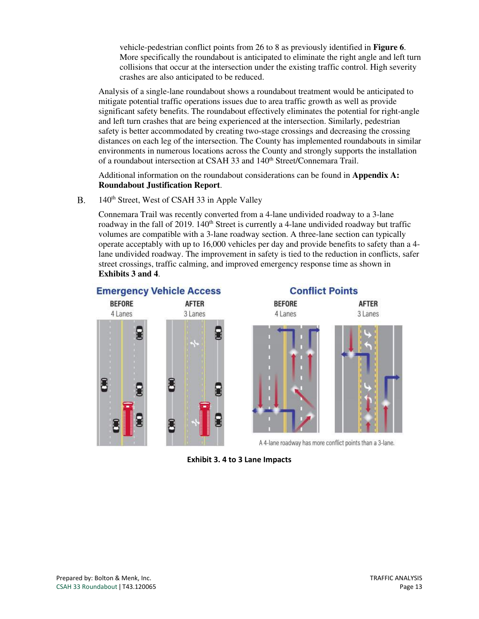vehicle-pedestrian conflict points from 26 to 8 as previously identified in **Figure 6**. More specifically the roundabout is anticipated to eliminate the right angle and left turn collisions that occur at the intersection under the existing traffic control. High severity crashes are also anticipated to be reduced.

Analysis of a single-lane roundabout shows a roundabout treatment would be anticipated to mitigate potential traffic operations issues due to area traffic growth as well as provide significant safety benefits. The roundabout effectively eliminates the potential for right-angle and left turn crashes that are being experienced at the intersection. Similarly, pedestrian safety is better accommodated by creating two-stage crossings and decreasing the crossing distances on each leg of the intersection. The County has implemented roundabouts in similar environments in numerous locations across the County and strongly supports the installation of a roundabout intersection at CSAH 33 and 140<sup>th</sup> Street/Connemara Trail.

Additional information on the roundabout considerations can be found in **Appendix A: Roundabout Justification Report**.

 $\mathbf{B}$ . 140<sup>th</sup> Street, West of CSAH 33 in Apple Valley

> Connemara Trail was recently converted from a 4-lane undivided roadway to a 3-lane roadway in the fall of 2019.  $140<sup>th</sup>$  Street is currently a 4-lane undivided roadway but traffic volumes are compatible with a 3-lane roadway section. A three-lane section can typically operate acceptably with up to 16,000 vehicles per day and provide benefits to safety than a 4 lane undivided roadway. The improvement in safety is tied to the reduction in conflicts, safer street crossings, traffic calming, and improved emergency response time as shown in **Exhibits 3 and 4**.



Exhibit 3. 4 to 3 Lane Impacts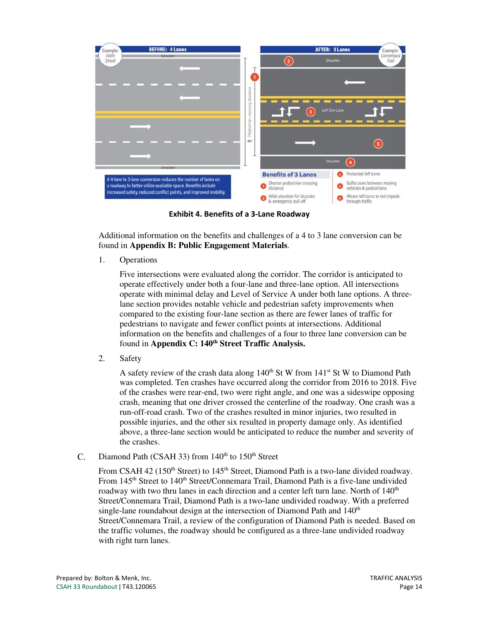

Exhibit 4. Benefits of a 3-Lane Roadway

Additional information on the benefits and challenges of a 4 to 3 lane conversion can be found in **Appendix B: Public Engagement Materials**.

1. Operations

Five intersections were evaluated along the corridor. The corridor is anticipated to operate effectively under both a four-lane and three-lane option. All intersections operate with minimal delay and Level of Service A under both lane options. A threelane section provides notable vehicle and pedestrian safety improvements when compared to the existing four-lane section as there are fewer lanes of traffic for pedestrians to navigate and fewer conflict points at intersections. Additional information on the benefits and challenges of a four to three lane conversion can be found in **Appendix C: 140th Street Traffic Analysis.**

2. Safety

A safety review of the crash data along  $140<sup>th</sup>$  St W from  $141<sup>st</sup>$  St W to Diamond Path was completed. Ten crashes have occurred along the corridor from 2016 to 2018. Five of the crashes were rear-end, two were right angle, and one was a sideswipe opposing crash, meaning that one driver crossed the centerline of the roadway. One crash was a run-off-road crash. Two of the crashes resulted in minor injuries, two resulted in possible injuries, and the other six resulted in property damage only. As identified above, a three-lane section would be anticipated to reduce the number and severity of the crashes.

Diamond Path (CSAH 33) from  $140<sup>th</sup>$  to  $150<sup>th</sup>$  Street  $C_{\cdot}$ 

> From CSAH 42 (150<sup>th</sup> Street) to 145<sup>th</sup> Street, Diamond Path is a two-lane divided roadway. From 145<sup>th</sup> Street to 140<sup>th</sup> Street/Connemara Trail, Diamond Path is a five-lane undivided roadway with two thru lanes in each direction and a center left turn lane. North of  $140<sup>th</sup>$ Street/Connemara Trail, Diamond Path is a two-lane undivided roadway. With a preferred single-lane roundabout design at the intersection of Diamond Path and  $140<sup>th</sup>$ Street/Connemara Trail, a review of the configuration of Diamond Path is needed. Based on the traffic volumes, the roadway should be configured as a three-lane undivided roadway with right turn lanes.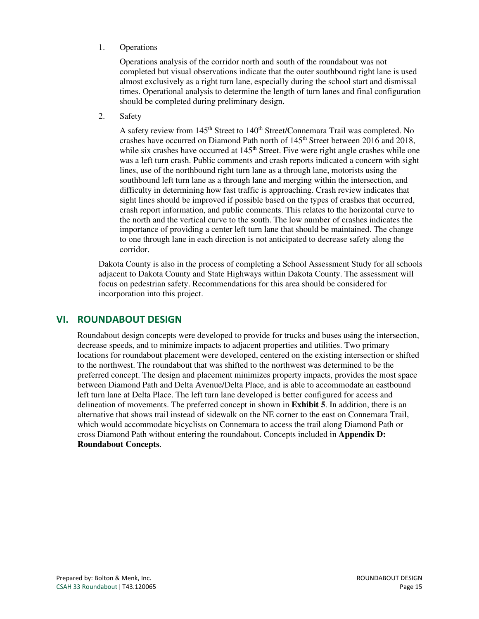#### 1. Operations

Operations analysis of the corridor north and south of the roundabout was not completed but visual observations indicate that the outer southbound right lane is used almost exclusively as a right turn lane, especially during the school start and dismissal times. Operational analysis to determine the length of turn lanes and final configuration should be completed during preliminary design.

2. Safety

A safety review from 145<sup>th</sup> Street to 140<sup>th</sup> Street/Connemara Trail was completed. No crashes have occurred on Diamond Path north of  $145<sup>th</sup>$  Street between 2016 and 2018, while six crashes have occurred at  $145<sup>th</sup>$  Street. Five were right angle crashes while one was a left turn crash. Public comments and crash reports indicated a concern with sight lines, use of the northbound right turn lane as a through lane, motorists using the southbound left turn lane as a through lane and merging within the intersection, and difficulty in determining how fast traffic is approaching. Crash review indicates that sight lines should be improved if possible based on the types of crashes that occurred, crash report information, and public comments. This relates to the horizontal curve to the north and the vertical curve to the south. The low number of crashes indicates the importance of providing a center left turn lane that should be maintained. The change to one through lane in each direction is not anticipated to decrease safety along the corridor.

Dakota County is also in the process of completing a School Assessment Study for all schools adjacent to Dakota County and State Highways within Dakota County. The assessment will focus on pedestrian safety. Recommendations for this area should be considered for incorporation into this project.

#### VI. ROUNDABOUT DESIGN

Roundabout design concepts were developed to provide for trucks and buses using the intersection, decrease speeds, and to minimize impacts to adjacent properties and utilities. Two primary locations for roundabout placement were developed, centered on the existing intersection or shifted to the northwest. The roundabout that was shifted to the northwest was determined to be the preferred concept. The design and placement minimizes property impacts, provides the most space between Diamond Path and Delta Avenue/Delta Place, and is able to accommodate an eastbound left turn lane at Delta Place. The left turn lane developed is better configured for access and delineation of movements. The preferred concept in shown in **Exhibit 5**. In addition, there is an alternative that shows trail instead of sidewalk on the NE corner to the east on Connemara Trail, which would accommodate bicyclists on Connemara to access the trail along Diamond Path or cross Diamond Path without entering the roundabout. Concepts included in **Appendix D: Roundabout Concepts**.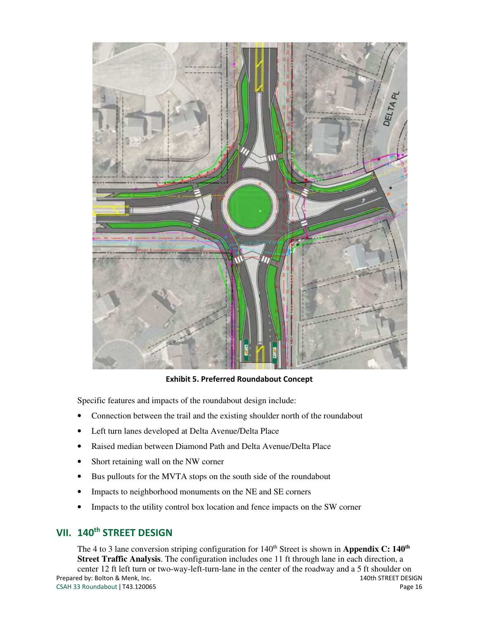

Exhibit 5. Preferred Roundabout Concept

Specific features and impacts of the roundabout design include:

- Connection between the trail and the existing shoulder north of the roundabout
- Left turn lanes developed at Delta Avenue/Delta Place
- Raised median between Diamond Path and Delta Avenue/Delta Place
- Short retaining wall on the NW corner
- Bus pullouts for the MVTA stops on the south side of the roundabout
- Impacts to neighborhood monuments on the NE and SE corners
- Impacts to the utility control box location and fence impacts on the SW corner

### VII. 140<sup>th</sup> STREET DESIGN

Prepared by: Bolton & Menk, Inc. 140th STREET DESIGN CSAH 33 Roundabout | T43.120065 Page 16 The 4 to 3 lane conversion striping configuration for 140<sup>th</sup> Street is shown in **Appendix C: 140<sup>th</sup> Street Traffic Analysis**. The configuration includes one 11 ft through lane in each direction, a center 12 ft left turn or two-way-left-turn-lane in the center of the roadway and a 5 ft shoulder on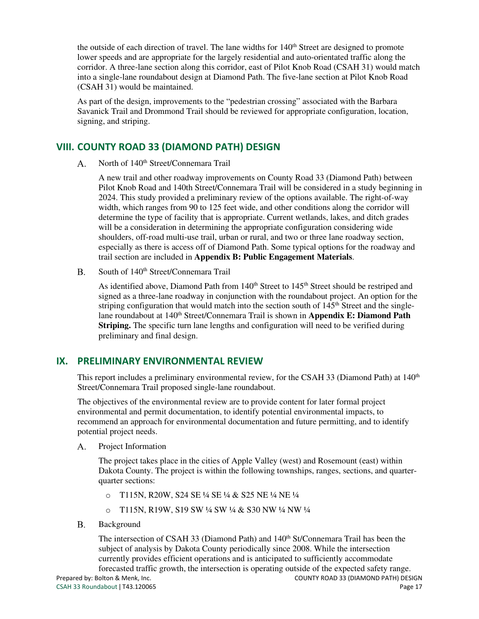the outside of each direction of travel. The lane widths for 140<sup>th</sup> Street are designed to promote lower speeds and are appropriate for the largely residential and auto-orientated traffic along the corridor. A three-lane section along this corridor, east of Pilot Knob Road (CSAH 31) would match into a single-lane roundabout design at Diamond Path. The five-lane section at Pilot Knob Road (CSAH 31) would be maintained.

As part of the design, improvements to the "pedestrian crossing" associated with the Barbara Savanick Trail and Drommond Trail should be reviewed for appropriate configuration, location, signing, and striping.

#### VIII. COUNTY ROAD 33 (DIAMOND PATH) DESIGN

North of 140<sup>th</sup> Street/Connemara Trail  $A_{1}$ 

> A new trail and other roadway improvements on County Road 33 (Diamond Path) between Pilot Knob Road and 140th Street/Connemara Trail will be considered in a study beginning in 2024. This study provided a preliminary review of the options available. The right-of-way width, which ranges from 90 to 125 feet wide, and other conditions along the corridor will determine the type of facility that is appropriate. Current wetlands, lakes, and ditch grades will be a consideration in determining the appropriate configuration considering wide shoulders, off-road multi-use trail, urban or rural, and two or three lane roadway section, especially as there is access off of Diamond Path. Some typical options for the roadway and trail section are included in **Appendix B: Public Engagement Materials**.

South of 140<sup>th</sup> Street/Connemara Trail  $B<sub>r</sub>$ 

> As identified above, Diamond Path from 140<sup>th</sup> Street to 145<sup>th</sup> Street should be restriped and signed as a three-lane roadway in conjunction with the roundabout project. An option for the striping configuration that would match into the section south of  $145<sup>th</sup>$  Street and the singlelane roundabout at 140<sup>th</sup> Street/Connemara Trail is shown in **Appendix E: Diamond Path Striping.** The specific turn lane lengths and configuration will need to be verified during preliminary and final design.

#### IX. PRELIMINARY ENVIRONMENTAL REVIEW

This report includes a preliminary environmental review, for the CSAH 33 (Diamond Path) at 140<sup>th</sup> Street/Connemara Trail proposed single-lane roundabout.

The objectives of the environmental review are to provide content for later formal project environmental and permit documentation, to identify potential environmental impacts, to recommend an approach for environmental documentation and future permitting, and to identify potential project needs.

 $A.$ Project Information

> The project takes place in the cities of Apple Valley (west) and Rosemount (east) within Dakota County. The project is within the following townships, ranges, sections, and quarterquarter sections:

- o T115N, R20W, S24 SE ¼ SE ¼ & S25 NE ¼ NE ¼
- o T115N, R19W, S19 SW ¼ SW ¼ & S30 NW ¼ NW ¼
- $B<sub>r</sub>$ Background

The intersection of CSAH 33 (Diamond Path) and 140<sup>th</sup> St/Connemara Trail has been the subject of analysis by Dakota County periodically since 2008. While the intersection currently provides efficient operations and is anticipated to sufficiently accommodate forecasted traffic growth, the intersection is operating outside of the expected safety range.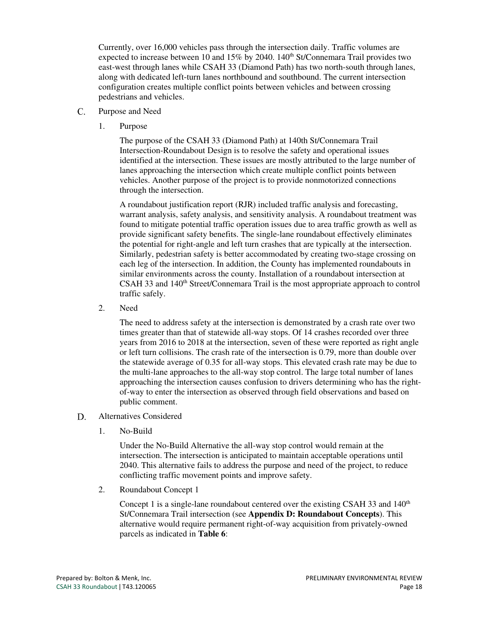Currently, over 16,000 vehicles pass through the intersection daily. Traffic volumes are expected to increase between 10 and 15% by 2040. 140<sup>th</sup> St/Connemara Trail provides two east-west through lanes while CSAH 33 (Diamond Path) has two north-south through lanes, along with dedicated left-turn lanes northbound and southbound. The current intersection configuration creates multiple conflict points between vehicles and between crossing pedestrians and vehicles.

- $C.$ Purpose and Need
	- 1. Purpose

The purpose of the CSAH 33 (Diamond Path) at 140th St/Connemara Trail Intersection-Roundabout Design is to resolve the safety and operational issues identified at the intersection. These issues are mostly attributed to the large number of lanes approaching the intersection which create multiple conflict points between vehicles. Another purpose of the project is to provide nonmotorized connections through the intersection.

A roundabout justification report (RJR) included traffic analysis and forecasting, warrant analysis, safety analysis, and sensitivity analysis. A roundabout treatment was found to mitigate potential traffic operation issues due to area traffic growth as well as provide significant safety benefits. The single-lane roundabout effectively eliminates the potential for right-angle and left turn crashes that are typically at the intersection. Similarly, pedestrian safety is better accommodated by creating two-stage crossing on each leg of the intersection. In addition, the County has implemented roundabouts in similar environments across the county. Installation of a roundabout intersection at CSAH 33 and 140<sup>th</sup> Street/Connemara Trail is the most appropriate approach to control traffic safely.

2. Need

The need to address safety at the intersection is demonstrated by a crash rate over two times greater than that of statewide all-way stops. Of 14 crashes recorded over three years from 2016 to 2018 at the intersection, seven of these were reported as right angle or left turn collisions. The crash rate of the intersection is 0.79, more than double over the statewide average of 0.35 for all-way stops. This elevated crash rate may be due to the multi-lane approaches to the all-way stop control. The large total number of lanes approaching the intersection causes confusion to drivers determining who has the rightof-way to enter the intersection as observed through field observations and based on public comment.

- D. Alternatives Considered
	- 1. No-Build

Under the No-Build Alternative the all-way stop control would remain at the intersection. The intersection is anticipated to maintain acceptable operations until 2040. This alternative fails to address the purpose and need of the project, to reduce conflicting traffic movement points and improve safety.

2. Roundabout Concept 1

Concept 1 is a single-lane roundabout centered over the existing CSAH 33 and  $140<sup>th</sup>$ St/Connemara Trail intersection (see **Appendix D: Roundabout Concepts**). This alternative would require permanent right-of-way acquisition from privately-owned parcels as indicated in **Table 6**: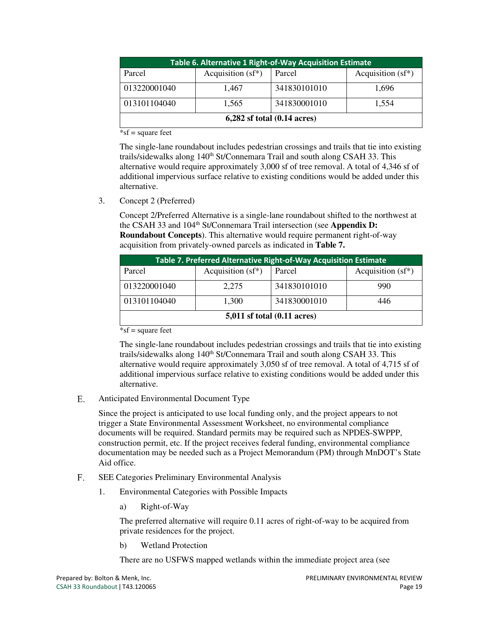| Table 6. Alternative 1 Right-of-Way Acquisition Estimate |                      |              |                      |  |  |  |  |
|----------------------------------------------------------|----------------------|--------------|----------------------|--|--|--|--|
| Parcel                                                   | Acquisition $(sf^*)$ | Parcel       | Acquisition $(sf^*)$ |  |  |  |  |
| 013220001040                                             | 1,467                | 341830101010 | 1,696                |  |  |  |  |
| 013101104040                                             | 1,565                | 341830001010 | 1,554                |  |  |  |  |
| $6,282$ sf total $(0.14 \text{ acres})$                  |                      |              |                      |  |  |  |  |

\*sf = square feet

The single-lane roundabout includes pedestrian crossings and trails that tie into existing trails/sidewalks along 140<sup>th</sup> St/Connemara Trail and south along CSAH 33. This alternative would require approximately 3,000 sf of tree removal. A total of 4,346 sf of additional impervious surface relative to existing conditions would be added under this alternative.

3. Concept 2 (Preferred)

Concept 2/Preferred Alternative is a single-lane roundabout shifted to the northwest at the CSAH 33 and 104<sup>th</sup> St/Connemara Trail intersection (see **Appendix D: Roundabout Concepts**). This alternative would require permanent right-of-way acquisition from privately-owned parcels as indicated in **Table 7.**

| Table 7. Preferred Alternative Right-of-Way Acquisition Estimate |                      |              |                      |  |  |  |  |
|------------------------------------------------------------------|----------------------|--------------|----------------------|--|--|--|--|
| Parcel                                                           | Acquisition $(sf^*)$ | Parcel       | Acquisition $(sf^*)$ |  |  |  |  |
| 013220001040                                                     | 2,275                | 341830101010 | 990                  |  |  |  |  |
| 013101104040                                                     | 1,300                | 341830001010 | 446                  |  |  |  |  |
| $5,011$ sf total $(0.11$ acres)                                  |                      |              |                      |  |  |  |  |

\*sf = square feet

The single-lane roundabout includes pedestrian crossings and trails that tie into existing trails/sidewalks along 140<sup>th</sup> St/Connemara Trail and south along CSAH 33. This alternative would require approximately 3,050 sf of tree removal. A total of 4,715 sf of additional impervious surface relative to existing conditions would be added under this alternative.

 $E_{\perp}$ Anticipated Environmental Document Type

> Since the project is anticipated to use local funding only, and the project appears to not trigger a State Environmental Assessment Worksheet, no environmental compliance documents will be required. Standard permits may be required such as NPDES-SWPPP, construction permit, etc. If the project receives federal funding, environmental compliance documentation may be needed such as a Project Memorandum (PM) through MnDOT's State Aid office.

- F. SEE Categories Preliminary Environmental Analysis
	- 1. Environmental Categories with Possible Impacts
		- a) Right-of-Way

The preferred alternative will require 0.11 acres of right-of-way to be acquired from private residences for the project.

b) Wetland Protection

There are no USFWS mapped wetlands within the immediate project area (see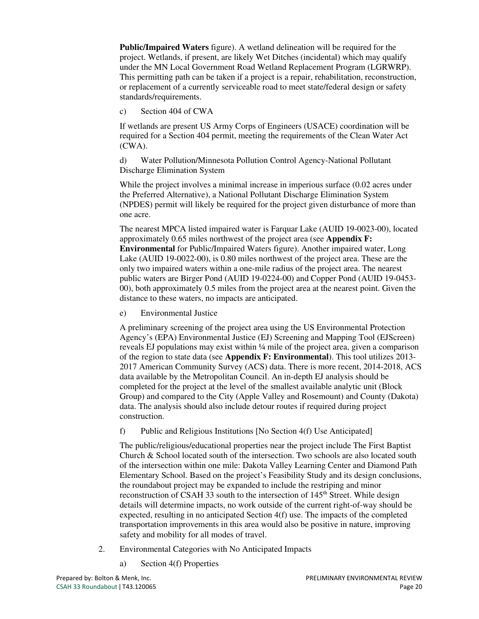**Public/Impaired Waters** figure). A wetland delineation will be required for the project. Wetlands, if present, are likely Wet Ditches (incidental) which may qualify under the MN Local Government Road Wetland Replacement Program (LGRWRP). This permitting path can be taken if a project is a repair, rehabilitation, reconstruction, or replacement of a currently serviceable road to meet state/federal design or safety standards/requirements.

c) Section 404 of CWA

If wetlands are present US Army Corps of Engineers (USACE) coordination will be required for a Section 404 permit, meeting the requirements of the Clean Water Act (CWA).

d) Water Pollution/Minnesota Pollution Control Agency-National Pollutant Discharge Elimination System

While the project involves a minimal increase in imperious surface (0.02 acres under the Preferred Alternative), a National Pollutant Discharge Elimination System (NPDES) permit will likely be required for the project given disturbance of more than one acre.

The nearest MPCA listed impaired water is Farquar Lake (AUID 19-0023-00), located approximately 0.65 miles northwest of the project area (see **Appendix F: Environmental** for Public/Impaired Waters figure). Another impaired water, Long Lake (AUID 19-0022-00), is 0.80 miles northwest of the project area. These are the only two impaired waters within a one-mile radius of the project area. The nearest public waters are Birger Pond (AUID 19-0224-00) and Copper Pond (AUID 19-0453- 00), both approximately 0.5 miles from the project area at the nearest point. Given the distance to these waters, no impacts are anticipated.

e) Environmental Justice

A preliminary screening of the project area using the US Environmental Protection Agency's (EPA) Environmental Justice (EJ) Screening and Mapping Tool (EJScreen) reveals EJ populations may exist within ¼ mile of the project area, given a comparison of the region to state data (see **Appendix F: Environmental**). This tool utilizes 2013- 2017 American Community Survey (ACS) data. There is more recent, 2014-2018, ACS data available by the Metropolitan Council. An in-depth EJ analysis should be completed for the project at the level of the smallest available analytic unit (Block Group) and compared to the City (Apple Valley and Rosemount) and County (Dakota) data. The analysis should also include detour routes if required during project construction.

f) Public and Religious Institutions [No Section 4(f) Use Anticipated]

The public/religious/educational properties near the project include The First Baptist Church & School located south of the intersection. Two schools are also located south of the intersection within one mile: Dakota Valley Learning Center and Diamond Path Elementary School. Based on the project's Feasibility Study and its design conclusions, the roundabout project may be expanded to include the restriping and minor reconstruction of CSAH 33 south to the intersection of 145<sup>th</sup> Street. While design details will determine impacts, no work outside of the current right-of-way should be expected, resulting in no anticipated Section 4(f) use. The impacts of the completed transportation improvements in this area would also be positive in nature, improving safety and mobility for all modes of travel.

- 2. Environmental Categories with No Anticipated Impacts
	- a) Section 4(f) Properties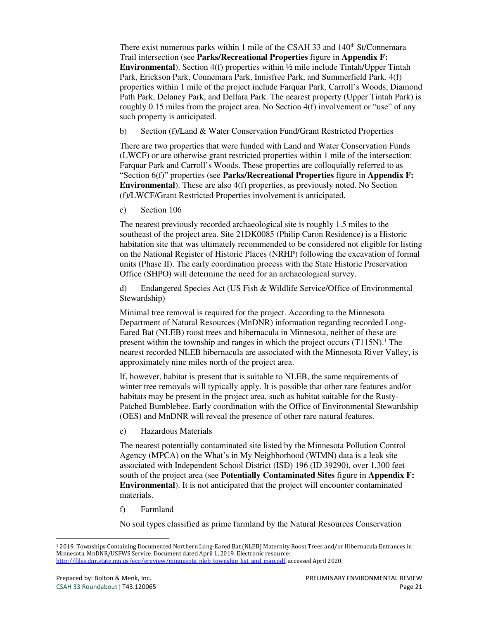There exist numerous parks within 1 mile of the CSAH 33 and 140<sup>th</sup> St/Connemara Trail intersection (see **Parks/Recreational Properties** figure in **Appendix F: Environmental**). Section 4(f) properties within ½ mile include Tintah/Upper Tintah Park, Erickson Park, Connemara Park, Innisfree Park, and Summerfield Park. 4(f) properties within 1 mile of the project include Farquar Park, Carroll's Woods, Diamond Path Park, Delaney Park, and Dellara Park. The nearest property (Upper Tintah Park) is roughly 0.15 miles from the project area. No Section 4(f) involvement or "use" of any such property is anticipated.

b) Section (f)/Land & Water Conservation Fund/Grant Restricted Properties

There are two properties that were funded with Land and Water Conservation Funds (LWCF) or are otherwise grant restricted properties within 1 mile of the intersection: Farquar Park and Carroll's Woods. These properties are colloquially referred to as "Section 6(f)" properties (see **Parks/Recreational Properties** figure in **Appendix F: Environmental**). These are also 4(f) properties, as previously noted. No Section (f)/LWCF/Grant Restricted Properties involvement is anticipated.

c) Section 106

The nearest previously recorded archaeological site is roughly 1.5 miles to the southeast of the project area. Site 21DK0085 (Philip Caron Residence) is a Historic habitation site that was ultimately recommended to be considered not eligible for listing on the National Register of Historic Places (NRHP) following the excavation of formal units (Phase II). The early coordination process with the State Historic Preservation Office (SHPO) will determine the need for an archaeological survey.

d) Endangered Species Act (US Fish & Wildlife Service/Office of Environmental Stewardship)

Minimal tree removal is required for the project. According to the Minnesota Department of Natural Resources (MnDNR) information regarding recorded Long-Eared Bat (NLEB) roost trees and hibernacula in Minnesota, neither of these are present within the township and ranges in which the project occurs  $(T115N)$ .<sup>1</sup> The nearest recorded NLEB hibernacula are associated with the Minnesota River Valley, is approximately nine miles north of the project area.

If, however, habitat is present that is suitable to NLEB, the same requirements of winter tree removals will typically apply. It is possible that other rare features and/or habitats may be present in the project area, such as habitat suitable for the Rusty-Patched Bumblebee. Early coordination with the Office of Environmental Stewardship (OES) and MnDNR will reveal the presence of other rare natural features.

e) Hazardous Materials

The nearest potentially contaminated site listed by the Minnesota Pollution Control Agency (MPCA) on the What's in My Neighborhood (WIMN) data is a leak site associated with Independent School District (ISD) 196 (ID 39290), over 1,300 feet south of the project area (see **Potentially Contaminated Sites** figure in **Appendix F: Environmental**). It is not anticipated that the project will encounter contaminated materials.

f) Farmland

No soil types classified as prime farmland by the Natural Resources Conservation

<sup>1</sup> 2019. Townships Containing Documented Northern Long-Eared Bat (NLEB) Maternity Roost Trees and/or Hibernacula Entrances in Minnesota. MnDNR/USFWS Service. Document dated April 1, 2019. Electronic resource: http://files.dnr.state.mn.us/eco/ereview/minnesota\_nleb\_township\_list\_and\_map.pdf, accessed April 2020.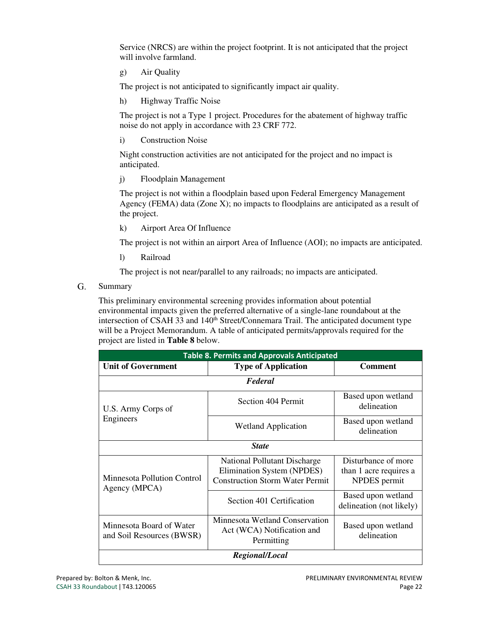Service (NRCS) are within the project footprint. It is not anticipated that the project will involve farmland.

g) Air Quality

The project is not anticipated to significantly impact air quality.

h) Highway Traffic Noise

The project is not a Type 1 project. Procedures for the abatement of highway traffic noise do not apply in accordance with 23 CRF 772.

i) Construction Noise

Night construction activities are not anticipated for the project and no impact is anticipated.

j) Floodplain Management

The project is not within a floodplain based upon Federal Emergency Management Agency (FEMA) data (Zone X); no impacts to floodplains are anticipated as a result of the project.

k) Airport Area Of Influence

The project is not within an airport Area of Influence (AOI); no impacts are anticipated.

l) Railroad

The project is not near/parallel to any railroads; no impacts are anticipated.

G. Summary

> This preliminary environmental screening provides information about potential environmental impacts given the preferred alternative of a single-lane roundabout at the intersection of CSAH 33 and 140<sup>th</sup> Street/Connemara Trail. The anticipated document type will be a Project Memorandum. A table of anticipated permits/approvals required for the project are listed in **Table 8** below.

| <b>Table 8. Permits and Approvals Anticipated</b>     |                                                                                                      |                                                               |  |  |  |  |
|-------------------------------------------------------|------------------------------------------------------------------------------------------------------|---------------------------------------------------------------|--|--|--|--|
| <b>Unit of Government</b>                             | <b>Type of Application</b>                                                                           | <b>Comment</b>                                                |  |  |  |  |
| Federal                                               |                                                                                                      |                                                               |  |  |  |  |
| U.S. Army Corps of                                    | Section 404 Permit                                                                                   | Based upon wetland<br>delineation                             |  |  |  |  |
| Engineers                                             | <b>Wetland Application</b>                                                                           | Based upon wetland<br>delineation                             |  |  |  |  |
| <b>State</b>                                          |                                                                                                      |                                                               |  |  |  |  |
| Minnesota Pollution Control<br>Agency (MPCA)          | National Pollutant Discharge<br>Elimination System (NPDES)<br><b>Construction Storm Water Permit</b> | Disturbance of more<br>than 1 acre requires a<br>NPDES permit |  |  |  |  |
|                                                       | Section 401 Certification                                                                            | Based upon wetland<br>delineation (not likely)                |  |  |  |  |
| Minnesota Board of Water<br>and Soil Resources (BWSR) | Minnesota Wetland Conservation<br>Act (WCA) Notification and<br>Permitting                           | Based upon wetland<br>delineation                             |  |  |  |  |
| Regional/Local                                        |                                                                                                      |                                                               |  |  |  |  |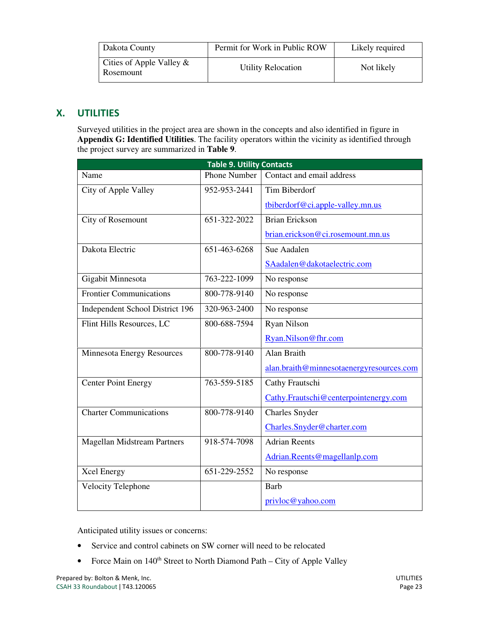| Dakota County                            | Permit for Work in Public ROW | Likely required |
|------------------------------------------|-------------------------------|-----------------|
| Cities of Apple Valley $\&$<br>Rosemount | <b>Utility Relocation</b>     | Not likely      |

### X. UTILITIES

Surveyed utilities in the project area are shown in the concepts and also identified in figure in **Appendix G: Identified Utilities**. The facility operators within the vicinity as identified through the project survey are summarized in **Table 9**.

| <b>Table 9. Utility Contacts</b>   |                     |                                          |  |  |
|------------------------------------|---------------------|------------------------------------------|--|--|
| Name                               | <b>Phone Number</b> | Contact and email address                |  |  |
| City of Apple Valley               | 952-953-2441        | Tim Biberdorf                            |  |  |
|                                    |                     | tbiberdorf@ci.apple-valley.mn.us         |  |  |
| City of Rosemount                  | 651-322-2022        | <b>Brian Erickson</b>                    |  |  |
|                                    |                     | brian.erickson@ci.rosemount.mn.us        |  |  |
| Dakota Electric                    | 651-463-6268        | Sue Aadalen                              |  |  |
|                                    |                     | SAadalen@dakotaelectric.com              |  |  |
| Gigabit Minnesota                  | 763-222-1099        | No response                              |  |  |
| <b>Frontier Communications</b>     | 800-778-9140        | No response                              |  |  |
| Independent School District 196    | 320-963-2400        | No response                              |  |  |
| Flint Hills Resources, LC          | 800-688-7594        | <b>Ryan Nilson</b>                       |  |  |
|                                    |                     | Ryan.Nilson@fhr.com                      |  |  |
| Minnesota Energy Resources         | 800-778-9140        | Alan Braith                              |  |  |
|                                    |                     | alan.braith@minnesotaenergyresources.com |  |  |
| <b>Center Point Energy</b>         | 763-559-5185        | Cathy Frautschi                          |  |  |
|                                    |                     | Cathy.Frautschi@centerpointenergy.com    |  |  |
| <b>Charter Communications</b>      | 800-778-9140        | <b>Charles Snyder</b>                    |  |  |
|                                    |                     | Charles.Snyder@charter.com               |  |  |
| <b>Magellan Midstream Partners</b> | 918-574-7098        | <b>Adrian Reents</b>                     |  |  |
|                                    |                     | Adrian.Reents@magellanlp.com             |  |  |
| <b>Xcel Energy</b>                 | 651-229-2552        | No response                              |  |  |
| Velocity Telephone                 |                     | <b>Barb</b>                              |  |  |
|                                    |                     | privloc@yahoo.com                        |  |  |

Anticipated utility issues or concerns:

- Service and control cabinets on SW corner will need to be relocated
- Force Main on  $140<sup>th</sup>$  Street to North Diamond Path City of Apple Valley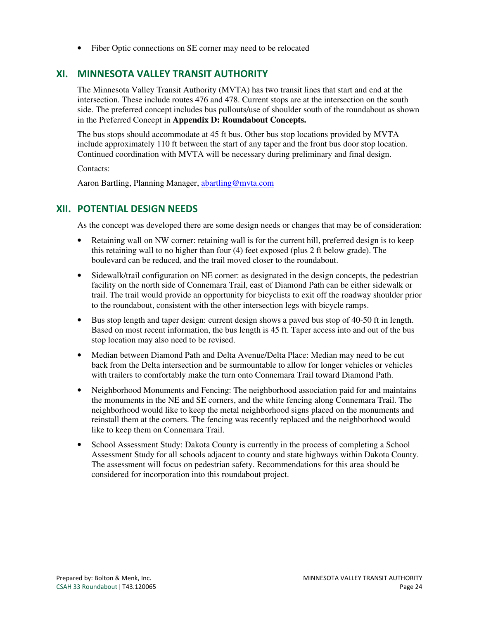• Fiber Optic connections on SE corner may need to be relocated

#### XI. MINNESOTA VALLEY TRANSIT AUTHORITY

The Minnesota Valley Transit Authority (MVTA) has two transit lines that start and end at the intersection. These include routes 476 and 478. Current stops are at the intersection on the south side. The preferred concept includes bus pullouts/use of shoulder south of the roundabout as shown in the Preferred Concept in **Appendix D: Roundabout Concepts.** 

The bus stops should accommodate at 45 ft bus. Other bus stop locations provided by MVTA include approximately 110 ft between the start of any taper and the front bus door stop location. Continued coordination with MVTA will be necessary during preliminary and final design.

Contacts:

Aaron Bartling, Planning Manager, abartling@mvta.com

#### XII. POTENTIAL DESIGN NEEDS

As the concept was developed there are some design needs or changes that may be of consideration:

- Retaining wall on NW corner: retaining wall is for the current hill, preferred design is to keep this retaining wall to no higher than four (4) feet exposed (plus 2 ft below grade). The boulevard can be reduced, and the trail moved closer to the roundabout.
- Sidewalk/trail configuration on NE corner: as designated in the design concepts, the pedestrian facility on the north side of Connemara Trail, east of Diamond Path can be either sidewalk or trail. The trail would provide an opportunity for bicyclists to exit off the roadway shoulder prior to the roundabout, consistent with the other intersection legs with bicycle ramps.
- Bus stop length and taper design: current design shows a paved bus stop of 40-50 ft in length. Based on most recent information, the bus length is 45 ft. Taper access into and out of the bus stop location may also need to be revised.
- Median between Diamond Path and Delta Avenue/Delta Place: Median may need to be cut back from the Delta intersection and be surmountable to allow for longer vehicles or vehicles with trailers to comfortably make the turn onto Connemara Trail toward Diamond Path.
- Neighborhood Monuments and Fencing: The neighborhood association paid for and maintains the monuments in the NE and SE corners, and the white fencing along Connemara Trail. The neighborhood would like to keep the metal neighborhood signs placed on the monuments and reinstall them at the corners. The fencing was recently replaced and the neighborhood would like to keep them on Connemara Trail.
- School Assessment Study: Dakota County is currently in the process of completing a School Assessment Study for all schools adjacent to county and state highways within Dakota County. The assessment will focus on pedestrian safety. Recommendations for this area should be considered for incorporation into this roundabout project.